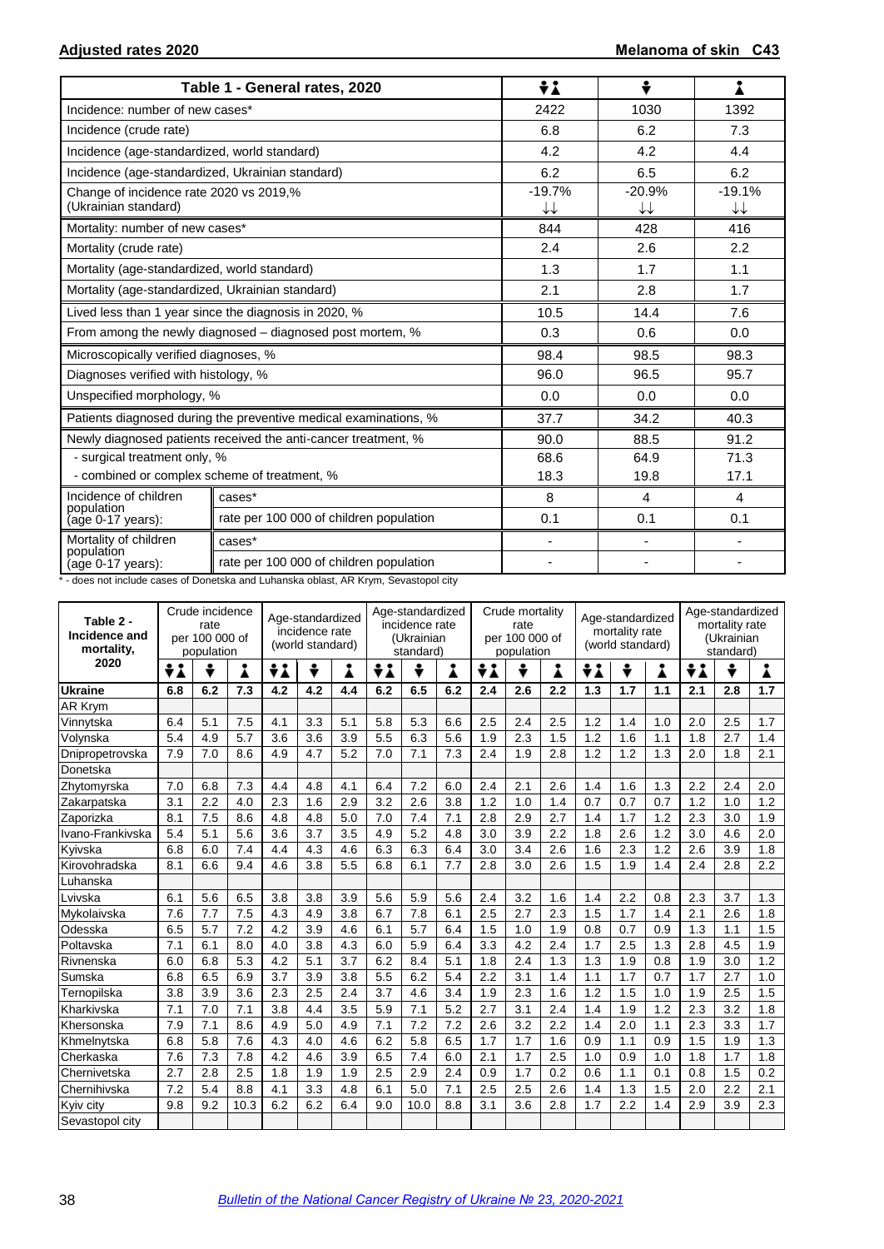|                                                                 | Table 1 - General rates, 2020                                    | ÷i             | ÷              |                                    |
|-----------------------------------------------------------------|------------------------------------------------------------------|----------------|----------------|------------------------------------|
| Incidence: number of new cases*                                 |                                                                  | 2422           | 1030           | 1392                               |
| Incidence (crude rate)                                          |                                                                  | 6.8            | 6.2            | 7.3                                |
| Incidence (age-standardized, world standard)                    |                                                                  | 4.2            | 4.2            | 4.4                                |
| Incidence (age-standardized, Ukrainian standard)                |                                                                  | 6.2            | 6.5            | 6.2                                |
| Change of incidence rate 2020 vs 2019,%<br>(Ukrainian standard) |                                                                  | $-19.7%$<br>↓↓ | $-20.9%$<br>↓↓ | $-19.1%$<br>$\downarrow\downarrow$ |
| Mortality: number of new cases*                                 |                                                                  | 844            | 428            | 416                                |
| Mortality (crude rate)                                          |                                                                  | 2.4            | 2.6            | 2.2                                |
| Mortality (age-standardized, world standard)                    |                                                                  | 1.3            | 1.7            | 1.1                                |
| Mortality (age-standardized, Ukrainian standard)                |                                                                  | 2.1            | 2.8            | 1.7                                |
|                                                                 | Lived less than 1 year since the diagnosis in 2020, %            | 10.5           | 14.4           | 7.6                                |
|                                                                 | From among the newly diagnosed – diagnosed post mortem, %        | 0.3            | 0.6            | 0.0                                |
| Microscopically verified diagnoses, %                           |                                                                  | 98.4           | 98.5           | 98.3                               |
| Diagnoses verified with histology, %                            |                                                                  | 96.0           | 96.5           | 95.7                               |
| Unspecified morphology, %                                       |                                                                  | 0.0            | 0.0            | 0.0                                |
|                                                                 | Patients diagnosed during the preventive medical examinations, % | 37.7           | 34.2           | 40.3                               |
|                                                                 | Newly diagnosed patients received the anti-cancer treatment, %   | 90.0           | 88.5           | 91.2                               |
| - surgical treatment only, %                                    |                                                                  | 68.6           | 64.9           | 71.3                               |
| - combined or complex scheme of treatment, %                    |                                                                  | 18.3           | 19.8           | 17.1                               |
| Incidence of children<br>population                             | cases*                                                           | 8              | $\overline{4}$ | $\overline{4}$                     |
| (age 0-17 years):                                               | rate per 100 000 of children population                          | 0.1            | 0.1            | 0.1                                |
| Mortality of children<br>population                             | cases*                                                           | $\blacksquare$ | $\blacksquare$ | $\overline{\phantom{a}}$           |
| (age 0-17 years):                                               | rate per 100 000 of children population                          | ٠              | $\blacksquare$ |                                    |

\* - does not include cases of Donetska and Luhanska oblast, AR Krym, Sevastopol city

| Table 2 -<br>Incidence and<br>mortality, | Crude incidence<br>rate<br>per 100 000 of<br>population |     |      | Age-standardized<br>incidence rate<br>(world standard) |     |     | Age-standardized<br>incidence rate<br>(Ukrainian<br>standard) |      |     | Crude mortality<br>rate<br>per 100 000 of<br>population |     |     | Age-standardized<br>mortality rate<br>(world standard) |     |     | Age-standardized<br>mortality rate<br>(Ukrainian<br>standard) |     |     |
|------------------------------------------|---------------------------------------------------------|-----|------|--------------------------------------------------------|-----|-----|---------------------------------------------------------------|------|-----|---------------------------------------------------------|-----|-----|--------------------------------------------------------|-----|-----|---------------------------------------------------------------|-----|-----|
| 2020                                     | ÷i                                                      | ÷   | Å    | ÷λ                                                     | ÷   | Å   | ÷i                                                            | ÷    | i   | ÷i                                                      | ÷   | Å   | ÷<br>$\boldsymbol{\lambda}$                            | ÷   | Å   | ÷i                                                            | ÷   | ▲   |
| <b>Ukraine</b>                           | 6.8                                                     | 6.2 | 7.3  | 4.2                                                    | 4.2 | 4.4 | 6.2                                                           | 6.5  | 6.2 | 2.4                                                     | 2.6 | 2.2 | 1.3                                                    | 1.7 | 1.1 | 2.1                                                           | 2.8 | 1.7 |
| AR Krym                                  |                                                         |     |      |                                                        |     |     |                                                               |      |     |                                                         |     |     |                                                        |     |     |                                                               |     |     |
| Vinnytska                                | 6.4                                                     | 5.1 | 7.5  | 4.1                                                    | 3.3 | 5.1 | 5.8                                                           | 5.3  | 6.6 | 2.5                                                     | 2.4 | 2.5 | 1.2                                                    | 1.4 | 1.0 | 2.0                                                           | 2.5 | 1.7 |
| Volynska                                 | 5.4                                                     | 4.9 | 5.7  | 3.6                                                    | 3.6 | 3.9 | 5.5                                                           | 6.3  | 5.6 | 1.9                                                     | 2.3 | 1.5 | 1.2                                                    | 1.6 | 1.1 | 1.8                                                           | 2.7 | 1.4 |
| Dnipropetrovska                          | 7.9                                                     | 7.0 | 8.6  | 4.9                                                    | 4.7 | 5.2 | 7.0                                                           | 7.1  | 7.3 | 2.4                                                     | 1.9 | 2.8 | 1.2                                                    | 1.2 | 1.3 | 2.0                                                           | 1.8 | 2.1 |
| Donetska                                 |                                                         |     |      |                                                        |     |     |                                                               |      |     |                                                         |     |     |                                                        |     |     |                                                               |     |     |
| Zhytomyrska                              | 7.0                                                     | 6.8 | 7.3  | 4.4                                                    | 4.8 | 4.1 | 6.4                                                           | 7.2  | 6.0 | 2.4                                                     | 2.1 | 2.6 | 1.4                                                    | 1.6 | 1.3 | 2.2                                                           | 2.4 | 2.0 |
| Zakarpatska                              | 3.1                                                     | 2.2 | 4.0  | 2.3                                                    | 1.6 | 2.9 | 3.2                                                           | 2.6  | 3.8 | 1.2                                                     | 1.0 | 1.4 | 0.7                                                    | 0.7 | 0.7 | 1.2                                                           | 1.0 | 1.2 |
| Zaporizka                                | 8.1                                                     | 7.5 | 8.6  | 4.8                                                    | 4.8 | 5.0 | 7.0                                                           | 7.4  | 7.1 | 2.8                                                     | 2.9 | 2.7 | 1.4                                                    | 1.7 | 1.2 | 2.3                                                           | 3.0 | 1.9 |
| Ivano-Frankivska                         | 5.4                                                     | 5.1 | 5.6  | 3.6                                                    | 3.7 | 3.5 | 4.9                                                           | 5.2  | 4.8 | 3.0                                                     | 3.9 | 2.2 | 1.8                                                    | 2.6 | 1.2 | 3.0                                                           | 4.6 | 2.0 |
| Kyivska                                  | 6.8                                                     | 6.0 | 7.4  | 4.4                                                    | 4.3 | 4.6 | 6.3                                                           | 6.3  | 6.4 | 3.0                                                     | 3.4 | 2.6 | 1.6                                                    | 2.3 | 1.2 | 2.6                                                           | 3.9 | 1.8 |
| Kirovohradska                            | 8.1                                                     | 6.6 | 9.4  | 4.6                                                    | 3.8 | 5.5 | 6.8                                                           | 6.1  | 7.7 | 2.8                                                     | 3.0 | 2.6 | 1.5                                                    | 1.9 | 1.4 | 2.4                                                           | 2.8 | 2.2 |
| Luhanska                                 |                                                         |     |      |                                                        |     |     |                                                               |      |     |                                                         |     |     |                                                        |     |     |                                                               |     |     |
| Lvivska                                  | 6.1                                                     | 5.6 | 6.5  | 3.8                                                    | 3.8 | 3.9 | 5.6                                                           | 5.9  | 5.6 | 2.4                                                     | 3.2 | 1.6 | 1.4                                                    | 2.2 | 0.8 | 2.3                                                           | 3.7 | 1.3 |
| Mykolaivska                              | 7.6                                                     | 7.7 | 7.5  | 4.3                                                    | 4.9 | 3.8 | 6.7                                                           | 7.8  | 6.1 | 2.5                                                     | 2.7 | 2.3 | 1.5                                                    | 1.7 | 1.4 | 2.1                                                           | 2.6 | 1.8 |
| Odesska                                  | 6.5                                                     | 5.7 | 7.2  | 4.2                                                    | 3.9 | 4.6 | 6.1                                                           | 5.7  | 6.4 | 1.5                                                     | 1.0 | 1.9 | 0.8                                                    | 0.7 | 0.9 | 1.3                                                           | 1.1 | 1.5 |
| Poltavska                                | 7.1                                                     | 6.1 | 8.0  | 4.0                                                    | 3.8 | 4.3 | 6.0                                                           | 5.9  | 6.4 | 3.3                                                     | 4.2 | 2.4 | 1.7                                                    | 2.5 | 1.3 | 2.8                                                           | 4.5 | 1.9 |
| Rivnenska                                | 6.0                                                     | 6.8 | 5.3  | 4.2                                                    | 5.1 | 3.7 | 6.2                                                           | 8.4  | 5.1 | 1.8                                                     | 2.4 | 1.3 | 1.3                                                    | 1.9 | 0.8 | 1.9                                                           | 3.0 | 1.2 |
| Sumska                                   | 6.8                                                     | 6.5 | 6.9  | 3.7                                                    | 3.9 | 3.8 | 5.5                                                           | 6.2  | 5.4 | 2.2                                                     | 3.1 | 1.4 | 1.1                                                    | 1.7 | 0.7 | 1.7                                                           | 2.7 | 1.0 |
| Ternopilska                              | 3.8                                                     | 3.9 | 3.6  | 2.3                                                    | 2.5 | 2.4 | 3.7                                                           | 4.6  | 3.4 | 1.9                                                     | 2.3 | 1.6 | 1.2                                                    | 1.5 | 1.0 | 1.9                                                           | 2.5 | 1.5 |
| Kharkivska                               | 7.1                                                     | 7.0 | 7.1  | 3.8                                                    | 4.4 | 3.5 | 5.9                                                           | 7.1  | 5.2 | 2.7                                                     | 3.1 | 2.4 | 1.4                                                    | 1.9 | 1.2 | 2.3                                                           | 3.2 | 1.8 |
| Khersonska                               | 7.9                                                     | 7.1 | 8.6  | 4.9                                                    | 5.0 | 4.9 | 7.1                                                           | 7.2  | 7.2 | 2.6                                                     | 3.2 | 2.2 | 1.4                                                    | 2.0 | 1.1 | 2.3                                                           | 3.3 | 1.7 |
| Khmelnvtska                              | 6.8                                                     | 5.8 | 7.6  | 4.3                                                    | 4.0 | 4.6 | 6.2                                                           | 5.8  | 6.5 | 1.7                                                     | 1.7 | 1.6 | 0.9                                                    | 1.1 | 0.9 | 1.5                                                           | 1.9 | 1.3 |
| Cherkaska                                | 7.6                                                     | 7.3 | 7.8  | 4.2                                                    | 4.6 | 3.9 | 6.5                                                           | 7.4  | 6.0 | 2.1                                                     | 1.7 | 2.5 | 1.0                                                    | 0.9 | 1.0 | 1.8                                                           | 1.7 | 1.8 |
| Chernivetska                             | 2.7                                                     | 2.8 | 2.5  | 1.8                                                    | 1.9 | 1.9 | 2.5                                                           | 2.9  | 2.4 | 0.9                                                     | 1.7 | 0.2 | 0.6                                                    | 1.1 | 0.1 | 0.8                                                           | 1.5 | 0.2 |
| Chernihivska                             | 7.2                                                     | 5.4 | 8.8  | 4.1                                                    | 3.3 | 4.8 | 6.1                                                           | 5.0  | 7.1 | 2.5                                                     | 2.5 | 2.6 | 1.4                                                    | 1.3 | 1.5 | 2.0                                                           | 2.2 | 2.1 |
| Kyiv city                                | 9.8                                                     | 9.2 | 10.3 | 6.2                                                    | 6.2 | 6.4 | 9.0                                                           | 10.0 | 8.8 | 3.1                                                     | 3.6 | 2.8 | 1.7                                                    | 2.2 | 1.4 | 2.9                                                           | 3.9 | 2.3 |
| Sevastopol city                          |                                                         |     |      |                                                        |     |     |                                                               |      |     |                                                         |     |     |                                                        |     |     |                                                               |     |     |